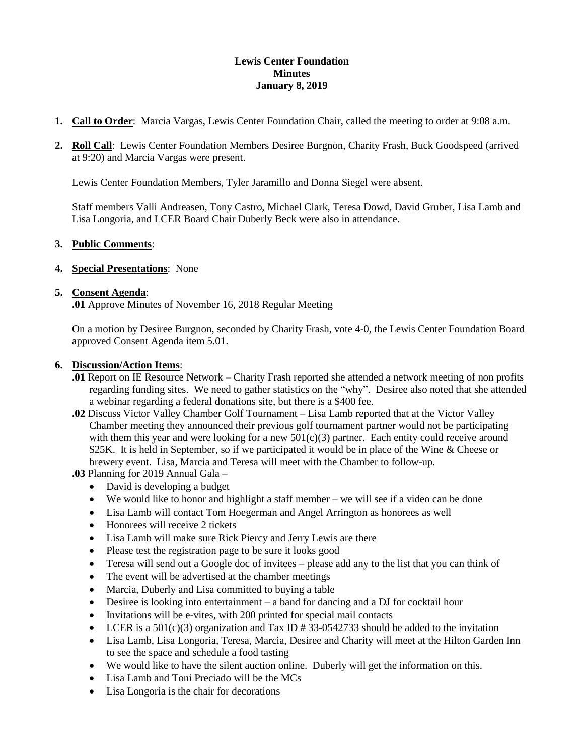### **Lewis Center Foundation Minutes January 8, 2019**

- **1. Call to Order**: Marcia Vargas, Lewis Center Foundation Chair, called the meeting to order at 9:08 a.m.
- **2. Roll Call**: Lewis Center Foundation Members Desiree Burgnon, Charity Frash, Buck Goodspeed (arrived at 9:20) and Marcia Vargas were present.

Lewis Center Foundation Members, Tyler Jaramillo and Donna Siegel were absent.

Staff members Valli Andreasen, Tony Castro, Michael Clark, Teresa Dowd, David Gruber, Lisa Lamb and Lisa Longoria, and LCER Board Chair Duberly Beck were also in attendance.

#### **3. Public Comments**:

**4. Special Presentations**: None

#### **5. Consent Agenda**:

**.01** Approve Minutes of November 16, 2018 Regular Meeting

On a motion by Desiree Burgnon, seconded by Charity Frash, vote 4-0, the Lewis Center Foundation Board approved Consent Agenda item 5.01.

#### **6. Discussion/Action Items**:

- **.01** Report on IE Resource Network Charity Frash reported she attended a network meeting of non profits regarding funding sites. We need to gather statistics on the "why". Desiree also noted that she attended a webinar regarding a federal donations site, but there is a \$400 fee.
- **.02** Discuss Victor Valley Chamber Golf Tournament Lisa Lamb reported that at the Victor Valley Chamber meeting they announced their previous golf tournament partner would not be participating with them this year and were looking for a new  $501(c)(3)$  partner. Each entity could receive around \$25K. It is held in September, so if we participated it would be in place of the Wine & Cheese or brewery event. Lisa, Marcia and Teresa will meet with the Chamber to follow-up.

**.03** Planning for 2019 Annual Gala – • David is developing a budget

- 
- We would like to honor and highlight a staff member we will see if a video can be done
- Lisa Lamb will contact Tom Hoegerman and Angel Arrington as honorees as well
- Honorees will receive 2 tickets
- Lisa Lamb will make sure Rick Piercy and Jerry Lewis are there
- Please test the registration page to be sure it looks good
- Teresa will send out a Google doc of invitees please add any to the list that you can think of
- The event will be advertised at the chamber meetings
- Marcia, Duberly and Lisa committed to buying a table
- Desiree is looking into entertainment a band for dancing and a DJ for cocktail hour
- Invitations will be e-vites, with 200 printed for special mail contacts
- LCER is a 501(c)(3) organization and Tax ID # 33-0542733 should be added to the invitation
- Lisa Lamb, Lisa Longoria, Teresa, Marcia, Desiree and Charity will meet at the Hilton Garden Inn to see the space and schedule a food tasting
- We would like to have the silent auction online. Duberly will get the information on this.
- Lisa Lamb and Toni Preciado will be the MCs
- Lisa Longoria is the chair for decorations